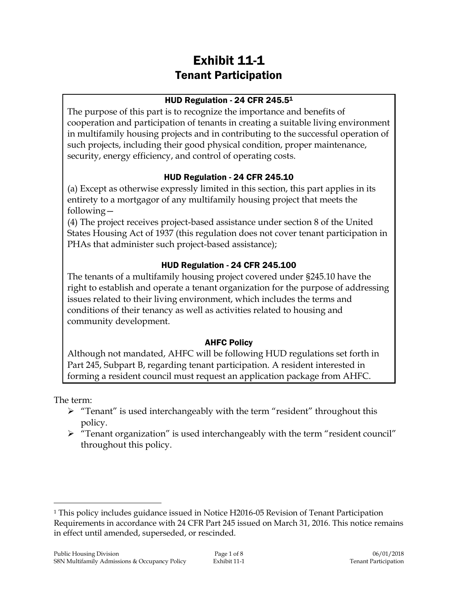# Exhibit 11-1 Tenant Participation

#### HUD Regulation - 24 CFR 245.5<sup>1</sup>

The purpose of this part is to recognize the importance and benefits of cooperation and participation of tenants in creating a suitable living environment in multifamily housing projects and in contributing to the successful operation of such projects, including their good physical condition, proper maintenance, security, energy efficiency, and control of operating costs.

### HUD Regulation - 24 CFR 245.10

(a) Except as otherwise expressly limited in this section, this part applies in its entirety to a mortgagor of any multifamily housing project that meets the following—

(4) The project receives project-based assistance under section 8 of the United States Housing Act of 1937 (this regulation does not cover tenant participation in PHAs that administer such project-based assistance);

### HUD Regulation - 24 CFR 245.100

The tenants of a multifamily housing project covered under §245.10 have the right to establish and operate a tenant organization for the purpose of addressing issues related to their living environment, which includes the terms and conditions of their tenancy as well as activities related to housing and community development.

### AHFC Policy

Although not mandated, AHFC will be following HUD regulations set forth in Part 245, Subpart B, regarding tenant participation. A resident interested in forming a resident council must request an application package from AHFC.

The term:

 $\overline{a}$ 

- > "Tenant" is used interchangeably with the term "resident" throughout this policy.
- "Tenant organization" is used interchangeably with the term "resident council" throughout this policy.

<sup>1</sup> This policy includes guidance issued in Notice H2016-05 Revision of Tenant Participation Requirements in accordance with 24 CFR Part 245 issued on March 31, 2016. This notice remains in effect until amended, superseded, or rescinded.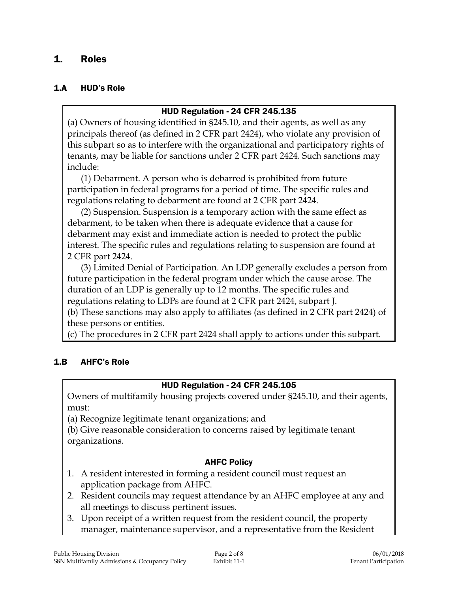### 1. Roles

#### 1.A HUD's Role

#### HUD Regulation - 24 CFR 245.135

(a) Owners of housing identified in §245.10, and their agents, as well as any principals thereof (as defined in 2 CFR part 2424), who violate any provision of this subpart so as to interfere with the organizational and participatory rights of tenants, may be liable for sanctions under 2 CFR part 2424. Such sanctions may include:

(1) Debarment. A person who is debarred is prohibited from future participation in federal programs for a period of time. The specific rules and regulations relating to debarment are found at 2 CFR part 2424.

(2) Suspension. Suspension is a temporary action with the same effect as debarment, to be taken when there is adequate evidence that a cause for debarment may exist and immediate action is needed to protect the public interest. The specific rules and regulations relating to suspension are found at 2 CFR part 2424.

(3) Limited Denial of Participation. An LDP generally excludes a person from future participation in the federal program under which the cause arose. The duration of an LDP is generally up to 12 months. The specific rules and regulations relating to LDPs are found at 2 CFR part 2424, subpart J.

(b) These sanctions may also apply to affiliates (as defined in 2 CFR part 2424) of these persons or entities.

(c) The procedures in 2 CFR part 2424 shall apply to actions under this subpart.

#### 1.B AHFC's Role

#### HUD Regulation - 24 CFR 245.105

Owners of multifamily housing projects covered under §245.10, and their agents, must:

(a) Recognize legitimate tenant organizations; and

(b) Give reasonable consideration to concerns raised by legitimate tenant organizations.

#### AHFC Policy

- 1. A resident interested in forming a resident council must request an application package from AHFC.
- 2. Resident councils may request attendance by an AHFC employee at any and all meetings to discuss pertinent issues.
- 3. Upon receipt of a written request from the resident council, the property manager, maintenance supervisor, and a representative from the Resident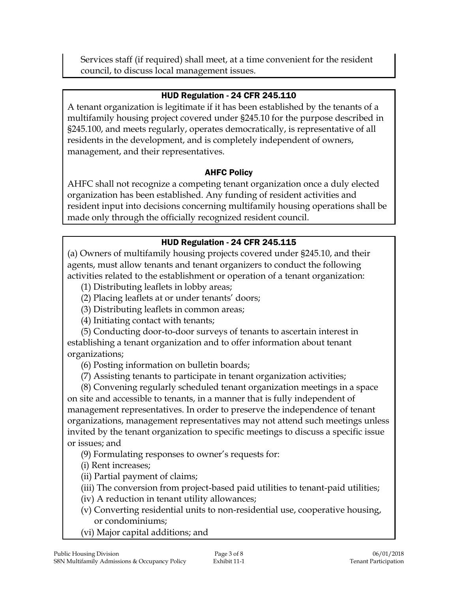Services staff (if required) shall meet, at a time convenient for the resident council, to discuss local management issues.

#### HUD Regulation - 24 CFR 245.110

A tenant organization is legitimate if it has been established by the tenants of a multifamily housing project covered under §245.10 for the purpose described in §245.100, and meets regularly, operates democratically, is representative of all residents in the development, and is completely independent of owners, management, and their representatives.

### AHFC Policy

AHFC shall not recognize a competing tenant organization once a duly elected organization has been established. Any funding of resident activities and resident input into decisions concerning multifamily housing operations shall be made only through the officially recognized resident council.

### HUD Regulation - 24 CFR 245.115

(a) Owners of multifamily housing projects covered under §245.10, and their agents, must allow tenants and tenant organizers to conduct the following activities related to the establishment or operation of a tenant organization:

(1) Distributing leaflets in lobby areas;

(2) Placing leaflets at or under tenants' doors;

(3) Distributing leaflets in common areas;

(4) Initiating contact with tenants;

(5) Conducting door-to-door surveys of tenants to ascertain interest in establishing a tenant organization and to offer information about tenant organizations;

(6) Posting information on bulletin boards;

(7) Assisting tenants to participate in tenant organization activities;

(8) Convening regularly scheduled tenant organization meetings in a space on site and accessible to tenants, in a manner that is fully independent of management representatives. In order to preserve the independence of tenant organizations, management representatives may not attend such meetings unless invited by the tenant organization to specific meetings to discuss a specific issue or issues; and

(9) Formulating responses to owner's requests for:

(i) Rent increases;

(ii) Partial payment of claims;

(iii) The conversion from project-based paid utilities to tenant-paid utilities;

(iv) A reduction in tenant utility allowances;

- (v) Converting residential units to non-residential use, cooperative housing, or condominiums;
- (vi) Major capital additions; and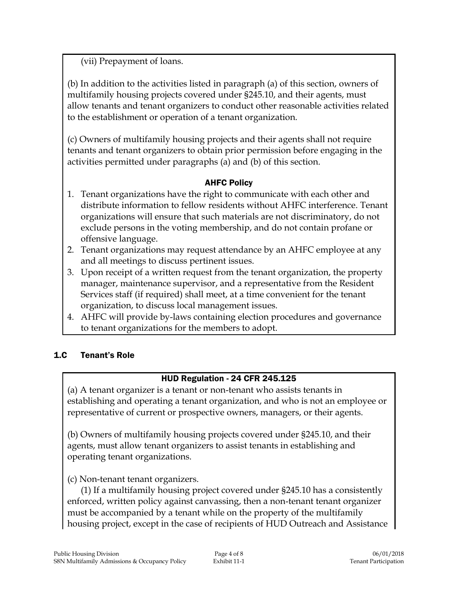(vii) Prepayment of loans.

(b) In addition to the activities listed in paragraph (a) of this section, owners of multifamily housing projects covered under §245.10, and their agents, must allow tenants and tenant organizers to conduct other reasonable activities related to the establishment or operation of a tenant organization.

(c) Owners of multifamily housing projects and their agents shall not require tenants and tenant organizers to obtain prior permission before engaging in the activities permitted under paragraphs (a) and (b) of this section.

### AHFC Policy

- 1. Tenant organizations have the right to communicate with each other and distribute information to fellow residents without AHFC interference. Tenant organizations will ensure that such materials are not discriminatory, do not exclude persons in the voting membership, and do not contain profane or offensive language.
- 2. Tenant organizations may request attendance by an AHFC employee at any and all meetings to discuss pertinent issues.
- 3. Upon receipt of a written request from the tenant organization, the property manager, maintenance supervisor, and a representative from the Resident Services staff (if required) shall meet, at a time convenient for the tenant organization, to discuss local management issues.
- 4. AHFC will provide by-laws containing election procedures and governance to tenant organizations for the members to adopt.

### 1.C Tenant's Role

#### HUD Regulation - 24 CFR 245.125

(a) A tenant organizer is a tenant or non-tenant who assists tenants in establishing and operating a tenant organization, and who is not an employee or representative of current or prospective owners, managers, or their agents.

(b) Owners of multifamily housing projects covered under §245.10, and their agents, must allow tenant organizers to assist tenants in establishing and operating tenant organizations.

(c) Non-tenant tenant organizers.

(1) If a multifamily housing project covered under §245.10 has a consistently enforced, written policy against canvassing, then a non-tenant tenant organizer must be accompanied by a tenant while on the property of the multifamily housing project, except in the case of recipients of HUD Outreach and Assistance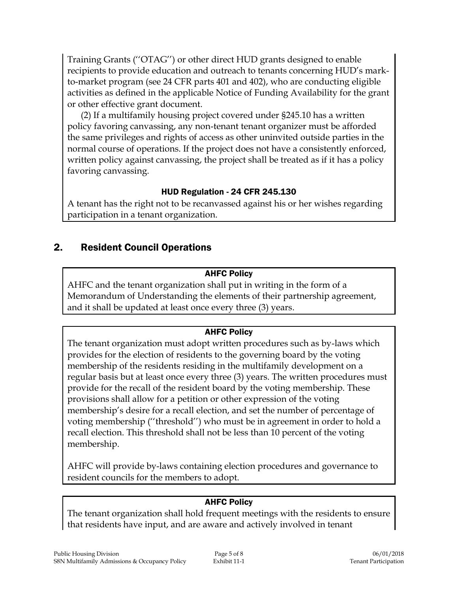Training Grants (''OTAG'') or other direct HUD grants designed to enable recipients to provide education and outreach to tenants concerning HUD's markto-market program (see 24 CFR parts 401 and 402), who are conducting eligible activities as defined in the applicable Notice of Funding Availability for the grant or other effective grant document.

(2) If a multifamily housing project covered under §245.10 has a written policy favoring canvassing, any non-tenant tenant organizer must be afforded the same privileges and rights of access as other uninvited outside parties in the normal course of operations. If the project does not have a consistently enforced, written policy against canvassing, the project shall be treated as if it has a policy favoring canvassing.

### HUD Regulation - 24 CFR 245.130

A tenant has the right not to be recanvassed against his or her wishes regarding participation in a tenant organization.

# 2. Resident Council Operations

### AHFC Policy

AHFC and the tenant organization shall put in writing in the form of a Memorandum of Understanding the elements of their partnership agreement, and it shall be updated at least once every three (3) years.

# AHFC Policy

The tenant organization must adopt written procedures such as by-laws which provides for the election of residents to the governing board by the voting membership of the residents residing in the multifamily development on a regular basis but at least once every three (3) years. The written procedures must provide for the recall of the resident board by the voting membership. These provisions shall allow for a petition or other expression of the voting membership's desire for a recall election, and set the number of percentage of voting membership (''threshold'') who must be in agreement in order to hold a recall election. This threshold shall not be less than 10 percent of the voting membership.

AHFC will provide by-laws containing election procedures and governance to resident councils for the members to adopt.

### AHFC Policy

The tenant organization shall hold frequent meetings with the residents to ensure that residents have input, and are aware and actively involved in tenant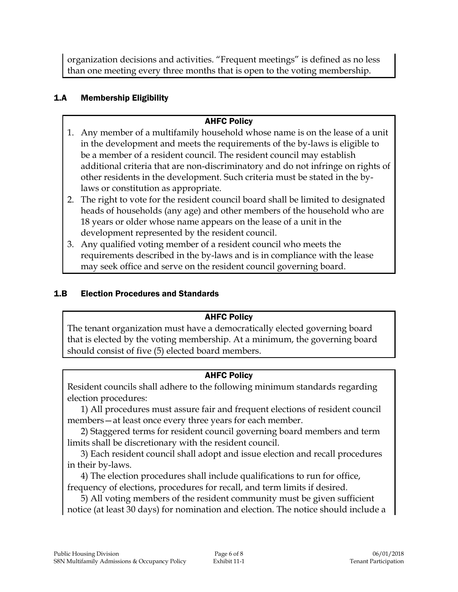organization decisions and activities. "Frequent meetings" is defined as no less than one meeting every three months that is open to the voting membership.

### 1.A Membership Eligibility

#### AHFC Policy

- 1. Any member of a multifamily household whose name is on the lease of a unit in the development and meets the requirements of the by-laws is eligible to be a member of a resident council. The resident council may establish additional criteria that are non-discriminatory and do not infringe on rights of other residents in the development. Such criteria must be stated in the bylaws or constitution as appropriate.
- 2. The right to vote for the resident council board shall be limited to designated heads of households (any age) and other members of the household who are 18 years or older whose name appears on the lease of a unit in the development represented by the resident council.
- 3. Any qualified voting member of a resident council who meets the requirements described in the by-laws and is in compliance with the lease may seek office and serve on the resident council governing board.

#### 1.B Election Procedures and Standards

#### AHFC Policy

The tenant organization must have a democratically elected governing board that is elected by the voting membership. At a minimum, the governing board should consist of five (5) elected board members.

#### AHFC Policy

Resident councils shall adhere to the following minimum standards regarding election procedures:

1) All procedures must assure fair and frequent elections of resident council members—at least once every three years for each member.

2) Staggered terms for resident council governing board members and term limits shall be discretionary with the resident council.

3) Each resident council shall adopt and issue election and recall procedures in their by-laws.

4) The election procedures shall include qualifications to run for office, frequency of elections, procedures for recall, and term limits if desired.

5) All voting members of the resident community must be given sufficient notice (at least 30 days) for nomination and election. The notice should include a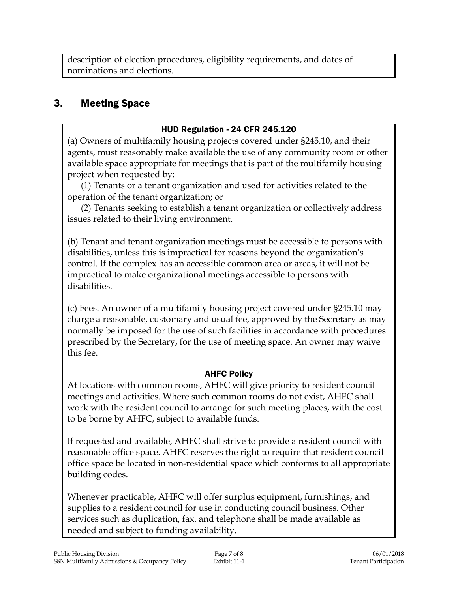description of election procedures, eligibility requirements, and dates of nominations and elections.

# 3. Meeting Space

### HUD Regulation - 24 CFR 245.120

(a) Owners of multifamily housing projects covered under §245.10, and their agents, must reasonably make available the use of any community room or other available space appropriate for meetings that is part of the multifamily housing project when requested by:

(1) Tenants or a tenant organization and used for activities related to the operation of the tenant organization; or

(2) Tenants seeking to establish a tenant organization or collectively address issues related to their living environment.

(b) Tenant and tenant organization meetings must be accessible to persons with disabilities, unless this is impractical for reasons beyond the organization's control. If the complex has an accessible common area or areas, it will not be impractical to make organizational meetings accessible to persons with disabilities.

(c) Fees. An owner of a multifamily housing project covered under §245.10 may charge a reasonable, customary and usual fee, approved by the Secretary as may normally be imposed for the use of such facilities in accordance with procedures prescribed by the Secretary, for the use of meeting space. An owner may waive this fee.

### AHFC Policy

At locations with common rooms, AHFC will give priority to resident council meetings and activities. Where such common rooms do not exist, AHFC shall work with the resident council to arrange for such meeting places, with the cost to be borne by AHFC, subject to available funds.

If requested and available, AHFC shall strive to provide a resident council with reasonable office space. AHFC reserves the right to require that resident council office space be located in non-residential space which conforms to all appropriate building codes.

Whenever practicable, AHFC will offer surplus equipment, furnishings, and supplies to a resident council for use in conducting council business. Other services such as duplication, fax, and telephone shall be made available as needed and subject to funding availability.